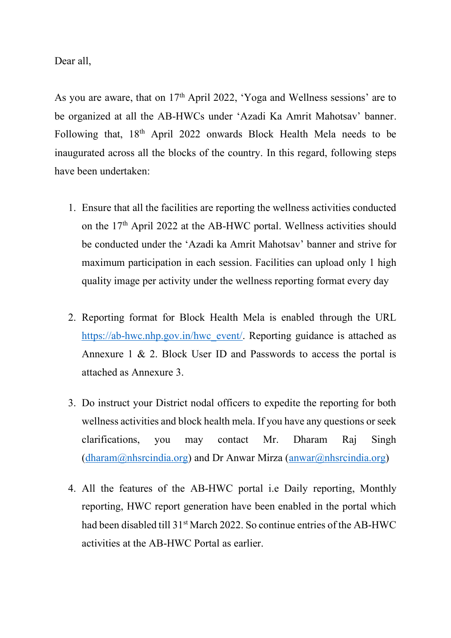Dear all,

As you are aware, that on 17<sup>th</sup> April 2022, 'Yoga and Wellness sessions' are to be organized at all the AB-HWCs under 'Azadi Ka Amrit Mahotsav' banner. Following that, 18th April 2022 onwards Block Health Mela needs to be inaugurated across all the blocks of the country. In this regard, following steps have been undertaken:

- 1. Ensure that all the facilities are reporting the wellness activities conducted on the 17<sup>th</sup> April 2022 at the AB-HWC portal. Wellness activities should be conducted under the 'Azadi ka Amrit Mahotsav' banner and strive for maximum participation in each session. Facilities can upload only 1 high quality image per activity under the wellness reporting format every day
- 2. Reporting format for Block Health Mela is enabled through the URL [https://ab-hwc.nhp.gov.in/hwc\\_event/.](https://ab-hwc.nhp.gov.in/hwc_event/) Reporting guidance is attached as Annexure 1 & 2. Block User ID and Passwords to access the portal is attached as Annexure 3.
- 3. Do instruct your District nodal officers to expedite the reporting for both wellness activities and block health mela. If you have any questions or seek clarifications, you may contact Mr. Dharam Raj Singh  $(dharam@nhsrcindia.org)$  and Dr Anwar Mirza  $(anwar@nhsrcindia.org)$
- 4. All the features of the AB-HWC portal i.e Daily reporting, Monthly reporting, HWC report generation have been enabled in the portal which had been disabled till 31<sup>st</sup> March 2022. So continue entries of the AB-HWC activities at the AB-HWC Portal as earlier.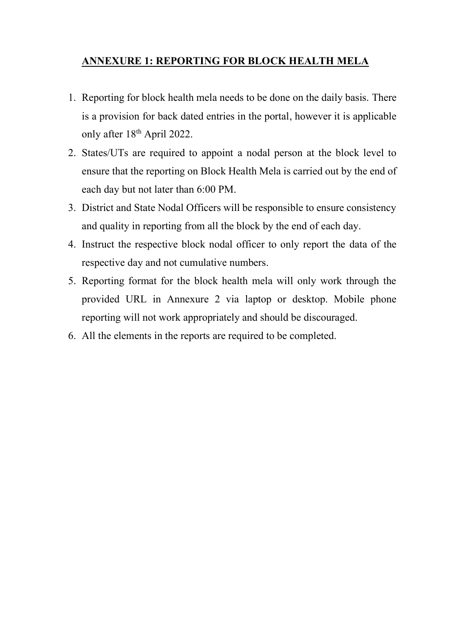## **ANNEXURE 1: REPORTING FOR BLOCK HEALTH MELA**

- 1. Reporting for block health mela needs to be done on the daily basis. There is a provision for back dated entries in the portal, however it is applicable only after 18<sup>th</sup> April 2022.
- 2. States/UTs are required to appoint a nodal person at the block level to ensure that the reporting on Block Health Mela is carried out by the end of each day but not later than 6:00 PM.
- 3. District and State Nodal Officers will be responsible to ensure consistency and quality in reporting from all the block by the end of each day.
- 4. Instruct the respective block nodal officer to only report the data of the respective day and not cumulative numbers.
- 5. Reporting format for the block health mela will only work through the provided URL in Annexure 2 via laptop or desktop. Mobile phone reporting will not work appropriately and should be discouraged.
- 6. All the elements in the reports are required to be completed.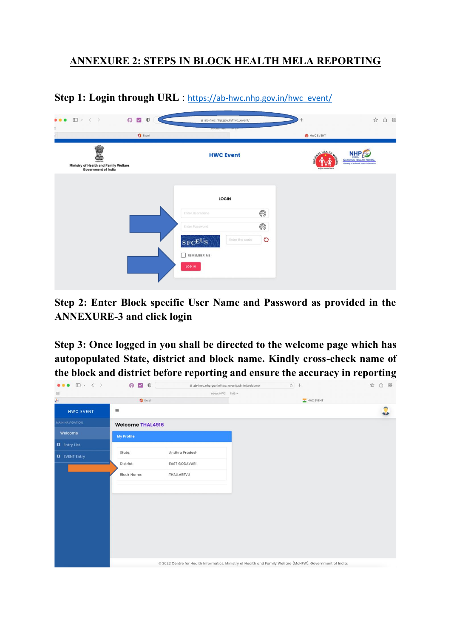## **ANNEXURE 2: STEPS IN BLOCK HEALTH MELA REPORTING**

**Step 1: Login through URL** : [https://ab-hwc.nhp.gov.in/hwc\\_event/](https://ab-hwc.nhp.gov.in/hwc_event/)

| $O$ $Q$ $O$<br>□ × < ><br><b><i><b>BO</b></i></b><br>$\Xi$                                      | iii ab-hwc.nhp.gov.in/hwc_event/<br>noout-nove the                                                 | 88<br>Ô<br>$\frac{1}{2\sqrt{3}}$                                                                                                                  |
|-------------------------------------------------------------------------------------------------|----------------------------------------------------------------------------------------------------|---------------------------------------------------------------------------------------------------------------------------------------------------|
| $\mathbf 0$ Excel<br>mailre wei<br>Ministry of Health and Family Welfare<br>Government of India | <b>HWC Event</b>                                                                                   | HWC EVENT<br><b>HEALT</b><br><b>NHP</b><br>NOIA<br>NATIONAL HEALTH PORTAL<br>Gateway of authoritic health information<br><b>Afts egress Rorry</b> |
|                                                                                                 | <b>LOGIN</b>                                                                                       |                                                                                                                                                   |
|                                                                                                 | ◎<br>Enter Username<br>$\circledS$<br>Enter Password<br>O<br>Enter the code<br>SFCE <sup>U</sup> S |                                                                                                                                                   |
|                                                                                                 | REMEMBER ME<br>LOG IN                                                                              |                                                                                                                                                   |

**Step 2: Enter Block specific User Name and Password as provided in the ANNEXURE-3 and click login**

**Step 3: Once logged in you shall be directed to the welcome page which has autopopulated State, district and block name. Kindly cross-check name of the block and district before reporting and ensure the accuracy in reporting**

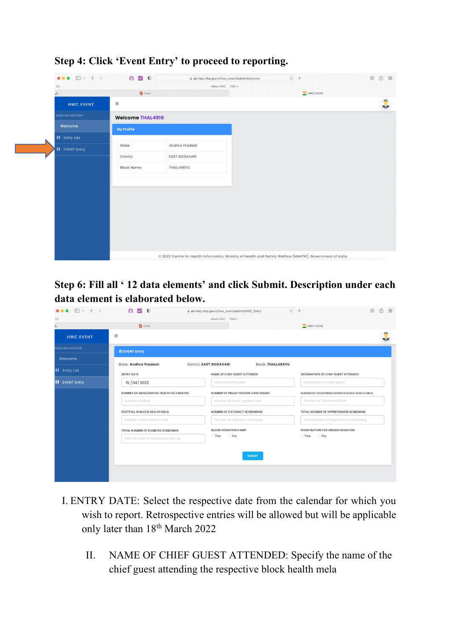

**Step 4: Click 'Event Entry' to proceed to reporting.** 

**Step 6: Fill all ' 12 data elements' and click Submit. Description under each data element is elaborated below.** 

| Ⅲ ▽ く 〉                              | $O$ $\sqrt{2}$ $O$                                                  |                                | ab-hwc.nhp.gov.in/hwc_event/admin/HWC_Entry | $c +$                                           | ☆<br>rĥ<br>88                                                                                                  |  |
|--------------------------------------|---------------------------------------------------------------------|--------------------------------|---------------------------------------------|-------------------------------------------------|----------------------------------------------------------------------------------------------------------------|--|
| $\frac{1}{2}$                        |                                                                     | About HWC TMS v                |                                             |                                                 |                                                                                                                |  |
| ķ,                                   | $C$ Excel                                                           |                                |                                             | HWC EVENT                                       |                                                                                                                |  |
| <b>HWC EVENT</b>                     | $\equiv$                                                            |                                |                                             |                                                 |                                                                                                                |  |
| <b>MAIN NAVIGATION</b>               | <b>ED EVENT Entry</b>                                               |                                |                                             |                                                 |                                                                                                                |  |
| Welcome                              | <b>State: Andhra Pradesh</b>                                        | <b>District: EAST GODAVARI</b> | <b>Block: THALLAREVU</b>                    |                                                 |                                                                                                                |  |
| <b>II</b> Entry List                 | <b>ENTRY DATE</b>                                                   |                                | <b>NAME OF CHIEF GUEST ATTENDED</b>         | <b>DESIGNATION OF CHIEF GUEST ATTENDED</b>      |                                                                                                                |  |
| <b>II</b> EVENT Entry                | 15/04/2022                                                          |                                | Name of chief guest                         | Designation of Chief guest                      |                                                                                                                |  |
|                                      | NUMBER OF ABHA (DIGITAL HEALTH ID) CREATED                          |                                | NUMBER OF PMJAY GOLDEN CARD ISSUED          | NUMBER OF TELECONSULTATION IN BLOCK HEALTH MELA |                                                                                                                |  |
|                                      | Number of ABHA                                                      |                                | Number of PMJAY golden card                 |                                                 | Number of Teleconsultation<br>TOTAL NUMBER OF HYPERTENSION SCREENING<br>Total Number of Hypertension screening |  |
| <b>FOOTFALL IN BLOCK HEALTH MELA</b> |                                                                     |                                | <b>NUMBER OF CATARACT SCREENINGS</b>        |                                                 |                                                                                                                |  |
|                                      | Footfall in block health mela<br>TOTAL NUMBER OF DIABETES SCREENING |                                | Number of cataract screenings               |                                                 |                                                                                                                |  |
|                                      |                                                                     |                                | <b>BLOOD DONATION CAMP</b>                  | <b>REGISTRATION FOR ORGAN DONATION</b>          |                                                                                                                |  |
|                                      | Total Number of Diabetes screening                                  |                                | $\bigcirc$ No                               | $\bigcirc$ Yes $\bigcirc$ No                    |                                                                                                                |  |
|                                      | <b>SUBMIT</b>                                                       |                                |                                             |                                                 |                                                                                                                |  |

- I. ENTRY DATE: Select the respective date from the calendar for which you wish to report. Retrospective entries will be allowed but will be applicable only later than  $18^{\text{th}}$  March 2022
	- II. NAME OF CHIEF GUEST ATTENDED: Specify the name of the chief guest attending the respective block health mela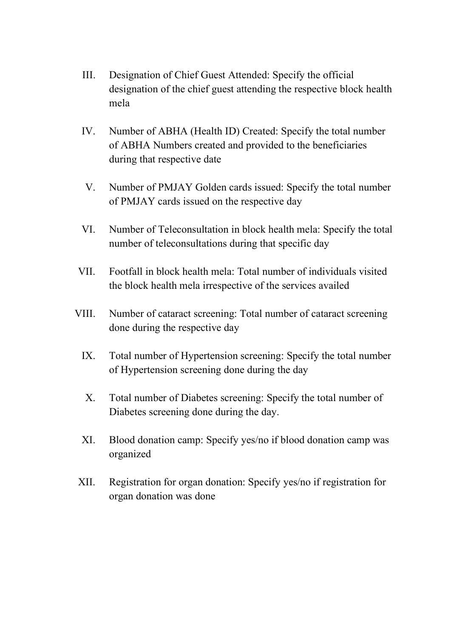- III. Designation of Chief Guest Attended: Specify the official designation of the chief guest attending the respective block health mela
- IV. Number of ABHA (Health ID) Created: Specify the total number of ABHA Numbers created and provided to the beneficiaries during that respective date
- V. Number of PMJAY Golden cards issued: Specify the total number of PMJAY cards issued on the respective day
- VI. Number of Teleconsultation in block health mela: Specify the total number of teleconsultations during that specific day
- VII. Footfall in block health mela: Total number of individuals visited the block health mela irrespective of the services availed
- VIII. Number of cataract screening: Total number of cataract screening done during the respective day
	- IX. Total number of Hypertension screening: Specify the total number of Hypertension screening done during the day
	- X. Total number of Diabetes screening: Specify the total number of Diabetes screening done during the day.
	- XI. Blood donation camp: Specify yes/no if blood donation camp was organized
- XII. Registration for organ donation: Specify yes/no if registration for organ donation was done